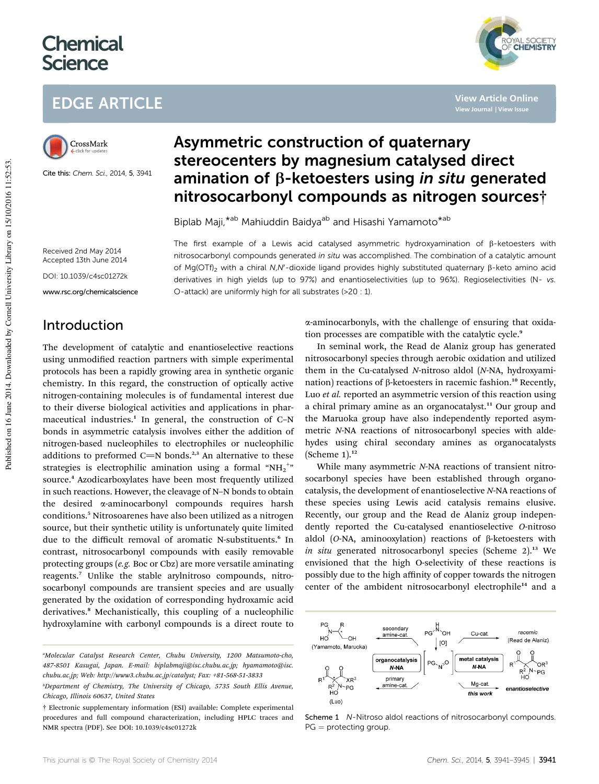# **Chemical Science**

# EDGE ARTICLE



Cite this: Chem. Sci., 2014, 5, 3941

## Asymmetric construction of quaternary stereocenters by magnesium catalysed direct amination of  $\beta$ -ketoesters using in situ generated nitrosocarbonyl compounds as nitrogen sources†

The first example of a Lewis acid catalysed asymmetric hydroxyamination of  $\beta$ -ketoesters with nitrosocarbonyl compounds generated in situ was accomplished. The combination of a catalytic amount of Mg(OTf)<sub>2</sub> with a chiral N,N'-dioxide ligand provides highly substituted quaternary  $\beta$ -keto amino acid derivatives in high yields (up to 97%) and enantioselectivities (up to 96%). Regioselectivities (N- vs.

Biplab Maji, \*<sup>ab</sup> Mahiuddin Baidya<sup>ab</sup> and Hisashi Yamamoto<sup>\*ab</sup>

O-attack) are uniformly high for all substrates (>20 : 1).

Received 2nd May 2014 Accepted 13th June 2014

DOI: 10.1039/c4sc01272k

www.rsc.org/chemicalscience

### Introduction

The development of catalytic and enantioselective reactions using unmodified reaction partners with simple experimental protocols has been a rapidly growing area in synthetic organic chemistry. In this regard, the construction of optically active nitrogen-containing molecules is of fundamental interest due to their diverse biological activities and applications in pharmaceutical industries.<sup>1</sup> In general, the construction of C-N bonds in asymmetric catalysis involves either the addition of nitrogen-based nucleophiles to electrophiles or nucleophilic additions to preformed C=N bonds.<sup>2,3</sup> An alternative to these strategies is electrophilic amination using a formal "NH2" source.<sup>4</sup> Azodicarboxylates have been most frequently utilized in such reactions. However, the cleavage of N–N bonds to obtain the desired a-aminocarbonyl compounds requires harsh conditions.<sup>5</sup> Nitrosoarenes have also been utilized as a nitrogen source, but their synthetic utility is unfortunately quite limited due to the difficult removal of aromatic N-substituents.<sup>6</sup> In contrast, nitrosocarbonyl compounds with easily removable protecting groups (*e.g.* Boc or Cbz) are more versatile aminating reagents.<sup>7</sup> Unlike the stable arylnitroso compounds, nitrosocarbonyl compounds are transient species and are usually generated by the oxidation of corresponding hydroxamic acid derivatives.<sup>8</sup> Mechanistically, this coupling of a nucleophilic hydroxylamine with carbonyl compounds is a direct route to

a-aminocarbonyls, with the challenge of ensuring that oxidation processes are compatible with the catalytic cycle.<sup>9</sup>

**View Article Online**

**YAL SOCIETY** 

In seminal work, the Read de Alaniz group has generated nitrosocarbonyl species through aerobic oxidation and utilized them in the Cu-catalysed *N*-nitroso aldol (*N*-NA, hydroxyamination) reactions of  $\beta$ -ketoesters in racemic fashion.<sup>10</sup> Recently, Luo *et al.* reported an asymmetric version of this reaction using a chiral primary amine as an organocatalyst.<sup>11</sup> Our group and the Maruoka group have also independently reported asymmetric *N*-NA reactions of nitrosocarbonyl species with aldehydes using chiral secondary amines as organocatalysts (Scheme  $1$ ).<sup>12</sup>

While many asymmetric *N*-NA reactions of transient nitrosocarbonyl species have been established through organocatalysis, the development of enantioselective *N*-NA reactions of these species using Lewis acid catalysis remains elusive. Recently, our group and the Read de Alaniz group independently reported the Cu-catalysed enantioselective *O*-nitroso aldol (*O*-NA, aminooxylation) reactions of β-ketoesters with *in situ* generated nitrosocarbonyl species (Scheme 2).<sup>13</sup> We envisioned that the high O-selectivity of these reactions is possibly due to the high affinity of copper towards the nitrogen center of the ambident nitrosocarbonyl electrophile<sup>14</sup> and a



Scheme 1 N-Nitroso aldol reactions of nitrosocarbonyl compounds.  $PG =$  protecting group.

*<sup>a</sup>Molecular Catalyst Research Center, Chubu University, 1200 Matsumoto-cho, 487-8501 Kasugai, Japan. E-mail: biplabmaji@isc.chubu.ac.jp; hyamamoto@isc. chubu.ac.jp; Web: http://www3.chubu.ac.jp/catalyst; Fax: +81-568-51-3833*

*<sup>b</sup>Department of Chemistry, The University of Chicago, 5735 South Ellis Avenue, Chicago, Illinois 60637, United States*

<sup>†</sup> Electronic supplementary information (ESI) available: Complete experimental procedures and full compound characterization, including HPLC traces and NMR spectra (PDF). See DOI: 10.1039/c4sc01272k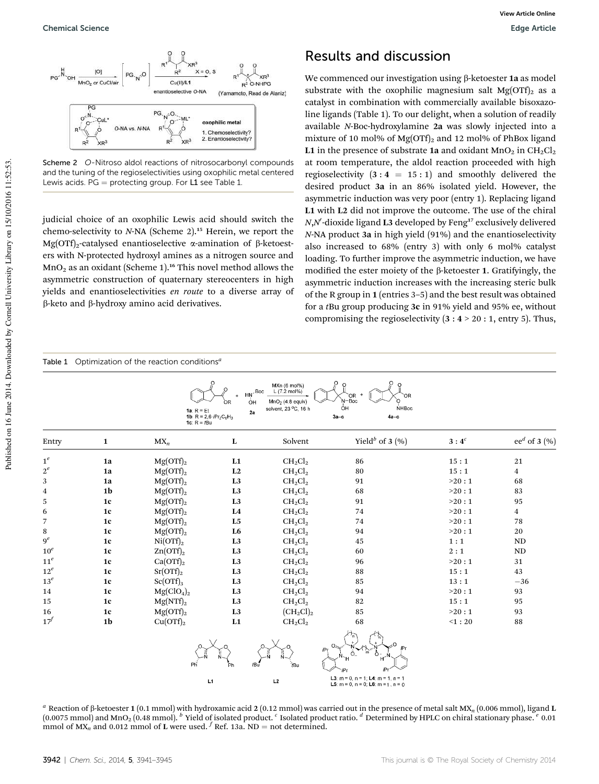

Scheme 2 O-Nitroso aldol reactions of nitrosocarbonyl compounds and the tuning of the regioselectivities using oxophilic metal centered Lewis acids.  $PG =$  protecting group. For L1 see Table 1.

judicial choice of an oxophilic Lewis acid should switch the chemo-selectivity to *N*-NA (Scheme 2).<sup>15</sup> Herein, we report the Mg(OTf)<sub>2</sub>-catalysed enantioselective  $\alpha$ -amination of  $\beta$ -ketoesters with N-protected hydroxyl amines as a nitrogen source and  $MnO<sub>2</sub>$  as an oxidant (Scheme 1).<sup>16</sup> This novel method allows the asymmetric construction of quaternary stereocenters in high yields and enantioselectivities *en route* to a diverse array of  $\beta$ -keto and  $\beta$ -hydroxy amino acid derivatives.

Table 1 Optimization of the reaction conditions*<sup>a</sup>*

#### Results and discussion

We commenced our investigation using  $\beta$ -ketoester 1a as model substrate with the oxophilic magnesium salt  $Mg(OTf)$ <sub>2</sub> as a catalyst in combination with commercially available bisoxazoline ligands (Table 1). To our delight, when a solution of readily available *N*-Boc-hydroxylamine 2a was slowly injected into a mixture of 10 mol% of  $Mg(OTf)$ <sub>2</sub> and 12 mol% of PhBox ligand L1 in the presence of substrate 1a and oxidant  $MnO<sub>2</sub>$  in  $CH<sub>2</sub>Cl<sub>2</sub>$ at room temperature, the aldol reaction proceeded with high regioselectivity  $(3:4 = 15:1)$  and smoothly delivered the desired product 3a in an 86% isolated yield. However, the asymmetric induction was very poor (entry 1). Replacing ligand L1 with L2 did not improve the outcome. The use of the chiral *N,N'*-dioxide ligand L3 developed by Feng<sup>17</sup> exclusively delivered *N*-NA product 3a in high yield (91%) and the enantioselectivity also increased to 68% (entry 3) with only 6 mol% catalyst loading. To further improve the asymmetric induction, we have modified the ester moiety of the  $\beta$ -ketoester 1. Gratifyingly, the asymmetric induction increases with the increasing steric bulk of the R group in 1 (entries 3–5) and the best result was obtained for a *t*Bu group producing 3c in 91% yield and 95% ee, without compromising the regioselectivity  $(3:4 > 20:1,$  entry 5). Thus,

| O<br>MXn (6 mol%)<br>$\circ$<br>$\circ$<br>L (7.2 mol%)<br>Boc<br>OR.<br>$MnO2$ (4.8 equiv)<br>N-Boc<br>ÓΗ<br>ΩR<br>óн<br><b>NHBoc</b><br>solvent, 23 °C, 16 h<br>$1a$ : $R = Et$<br>2a<br>1b: $R = 2,6-iPr2C6H3$<br>$3a-c$<br>$4a-c$<br>1c: $R = fBu$ |                |                                    |                |                  |                                                                                                                                              |                           |                    |
|--------------------------------------------------------------------------------------------------------------------------------------------------------------------------------------------------------------------------------------------------------|----------------|------------------------------------|----------------|------------------|----------------------------------------------------------------------------------------------------------------------------------------------|---------------------------|--------------------|
| Entry                                                                                                                                                                                                                                                  | $\mathbf{1}$   | $MX_n$                             | $\mathbf L$    | Solvent          | Yield <sup>b</sup> of 3 $(\%$                                                                                                                | $\mathbf{3}:\mathbf{4}^c$ | ee $d$ of 3 $(\%)$ |
| $1^e\,$                                                                                                                                                                                                                                                | 1a             | Mg(OTf) <sub>2</sub>               | L1             | $CH_2Cl_2$       | 86                                                                                                                                           | 15:1                      | 21                 |
| $2^e\,$                                                                                                                                                                                                                                                | 1a             | Mg(OTf) <sub>2</sub>               | L2             | $CH_2Cl_2$       | 80                                                                                                                                           | 15:1                      | $\overline{4}$     |
| 3                                                                                                                                                                                                                                                      | 1a             | $Mg(OTf)_2$                        | L <sub>3</sub> | $CH_2Cl_2$       | 91                                                                                                                                           | >20:1                     | 68                 |
| 4                                                                                                                                                                                                                                                      | 1 <sub>b</sub> | Mg(OTf) <sub>2</sub>               | L <sub>3</sub> | $CH_2Cl_2$       | 68                                                                                                                                           | >20:1                     | 83                 |
| 5                                                                                                                                                                                                                                                      | 1c             | Mg(OTf) <sub>2</sub>               | L <sub>3</sub> | $CH_2Cl_2$       | 91                                                                                                                                           | >20:1                     | 95                 |
| 6                                                                                                                                                                                                                                                      | 1c             | Mg(OTf) <sub>2</sub>               | L <sub>4</sub> | $CH_2Cl_2$       | 74                                                                                                                                           | >20:1                     | $\overline{4}$     |
| $\overline{7}$                                                                                                                                                                                                                                         | 1 <sub>c</sub> | $Mg(OTf)_{2}$                      | L <sub>5</sub> | $CH_2Cl_2$       | 74                                                                                                                                           | >20:1                     | 78                 |
| 8                                                                                                                                                                                                                                                      | 1c             | Mg(OTf) <sub>2</sub>               | L <sub>6</sub> | $CH_2Cl_2$       | 94                                                                                                                                           | >20:1                     | 20                 |
| 9 <sup>e</sup>                                                                                                                                                                                                                                         | 1 <sub>c</sub> | $Ni(OTf)_2$                        | L <sub>3</sub> | $CH_2Cl_2$       | 45                                                                                                                                           | 1:1                       | ND                 |
| $10^e$                                                                                                                                                                                                                                                 | 1c             | $Zn(OTf)_{2}$                      | L <sub>3</sub> | $CH_2Cl_2$       | 60                                                                                                                                           | 2:1                       | $\rm ND$           |
| 11 <sup>e</sup>                                                                                                                                                                                                                                        | 1 <sub>c</sub> | $Ca(OTf)_2$                        | L <sub>3</sub> | $CH_2Cl_2$       | 96                                                                                                                                           | >20:1                     | 31                 |
| $12^e$                                                                                                                                                                                                                                                 | 1c             | $Sr(OTf)_{2}$                      | L <sub>3</sub> | $CH_2Cl_2$       | 88                                                                                                                                           | 15:1                      | 43                 |
| $13^e$                                                                                                                                                                                                                                                 | 1c             | $Sc(OTf)_{3}$                      | L <sub>3</sub> | $CH_2Cl_2$       | 85                                                                                                                                           | 13:1                      | $-36$              |
| 14                                                                                                                                                                                                                                                     | 1c             | Mg(CIO <sub>4</sub> ) <sub>2</sub> | L <sub>3</sub> | $CH_2Cl_2$       | 94                                                                                                                                           | >20:1                     | 93                 |
| 15                                                                                                                                                                                                                                                     | 1c             | $Mg(NTf)_2$                        | L <sub>3</sub> | $CH_2Cl_2$       | 82                                                                                                                                           | 15:1                      | 95                 |
| 16                                                                                                                                                                                                                                                     | 1c             | Mg(OTf) <sub>2</sub>               | L <sub>3</sub> | $(CH_2Cl)_2$     | 85                                                                                                                                           | >20:1                     | 93                 |
| $17^f$                                                                                                                                                                                                                                                 | 1 <sub>b</sub> | Cu(OTf) <sub>2</sub>               | L1             | $CH_2Cl_2$       | 68                                                                                                                                           | $<$ 1:20                  | 88                 |
|                                                                                                                                                                                                                                                        |                | Ρĥ                                 | Ph<br>L1       | tBu<br>∄Bu<br>L2 | iPr<br>$\Omega$<br>ĥ<br>æ,<br>L3: $m = 0$ , $n = 1$ ; L4: $m = 1$ , $n = 1$<br><b>L5</b> : $m = 0$ , $n = 0$ ; <b>L6</b> : $m = 1$ , $n = 0$ |                           |                    |

*a* Reaction of  $\beta$ -ketoester 1 (0.1 mmol) with hydroxamic acid 2 (0.12 mmol) was carried out in the presence of metal salt MX<sub>n</sub> (0.006 mmol), ligand L (0.0075 mmol) and MnO<sup>2</sup> (0.48 mmol). *<sup>b</sup>* Yield of isolated product. *<sup>c</sup>* Isolated product ratio. *<sup>d</sup>* Determined by HPLC on chiral stationary phase. *<sup>e</sup>* 0.01 mmol of  $MX_n$  and 0.012 mmol of L were used. <sup>*f*</sup> Ref. 13a. ND = not determined.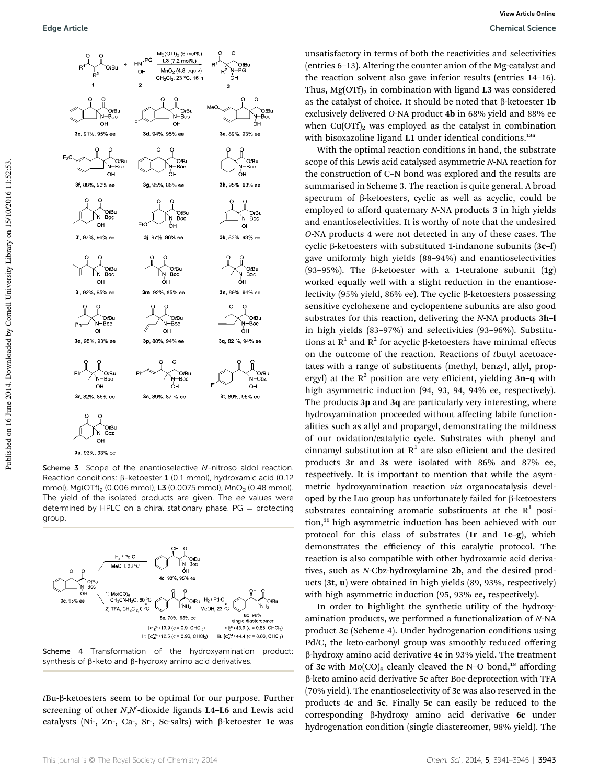

Scheme 3 Scope of the enantioselective N-nitroso aldol reaction. Reaction conditions:  $\beta$ -ketoester 1 (0.1 mmol), hydroxamic acid (0.12 mmol), Mg(OTf)<sub>2</sub> (0.006 mmol), L3 (0.0075 mmol), MnO<sub>2</sub> (0.48 mmol). The yield of the isolated products are given. The ee values were determined by HPLC on a chiral stationary phase.  $PG =$  protecting group



Scheme 4 Transformation of the hydroxyamination product: synthesis of  $\beta$ -keto and  $\beta$ -hydroxy amino acid derivatives.

*t*Bu-b-ketoesters seem to be optimal for our purpose. Further screening of other *N*,*N*<sup>*I*</sup>-dioxide ligands L4-L6 and Lewis acid catalysts (Ni-, Zn-, Ca-, Sr-, Sc-salts) with  $\beta$ -ketoester 1c was

unsatisfactory in terms of both the reactivities and selectivities (entries 6–13). Altering the counter anion of the Mg-catalyst and the reaction solvent also gave inferior results (entries 14–16). Thus,  $Mg(OTf)<sub>2</sub>$  in combination with ligand L3 was considered as the catalyst of choice. It should be noted that  $\beta$ -ketoester 1b exclusively delivered *O*-NA product 4b in 68% yield and 88% ee when  $Cu(OTf)_2$  was employed as the catalyst in combination with bisoxazoline ligand L1 under identical conditions.<sup>13a</sup>

With the optimal reaction conditions in hand, the substrate scope of this Lewis acid catalysed asymmetric *N*-NA reaction for the construction of C–N bond was explored and the results are summarised in Scheme 3. The reaction is quite general. A broad spectrum of  $\beta$ -ketoesters, cyclic as well as acyclic, could be employed to afford quaternary *N*-NA products 3 in high yields and enantioselectivities. It is worthy of note that the undesired *O*-NA products 4 were not detected in any of these cases. The cyclic b-ketoesters with substituted 1-indanone subunits (3c–f) gave uniformly high yields (88–94%) and enantioselectivities (93-95%). The  $\beta$ -ketoester with a 1-tetralone subunit (1g) worked equally well with a slight reduction in the enantioselectivity (95% yield, 86% ee). The cyclic  $\beta$ -ketoesters possessing sensitive cyclohexene and cyclopentene subunits are also good substrates for this reaction, delivering the *N*-NA products 3h–l in high yields (83–97%) and selectivities (93–96%). Substitutions at  $R^1$  and  $R^2$  for acyclic  $\beta$ -ketoesters have minimal effects on the outcome of the reaction. Reactions of *t*butyl acetoacetates with a range of substituents (methyl, benzyl, allyl, propergyl) at the  $R^2$  position are very efficient, yielding 3n-q with high asymmetric induction (94, 93, 94, 94% ee, respectively). The products 3p and 3q are particularly very interesting, where hydroxyamination proceeded without affecting labile functionalities such as allyl and propargyl, demonstrating the mildness of our oxidation/catalytic cycle. Substrates with phenyl and cinnamyl substitution at  $R^1$  are also efficient and the desired products 3r and 3s were isolated with 86% and 87% ee, respectively. It is important to mention that while the asymmetric hydroxyamination reaction *via* organocatalysis developed by the Luo group has unfortunately failed for  $\beta$ -ketoesters substrates containing aromatic substituents at the  $R^1$  position,<sup>11</sup> high asymmetric induction has been achieved with our protocol for this class of substrates (1r and 1c–g), which demonstrates the efficiency of this catalytic protocol. The reaction is also compatible with other hydroxamic acid derivatives, such as *N*-Cbz-hydroxylamine 2b, and the desired products (3t, u) were obtained in high yields (89, 93%, respectively) with high asymmetric induction (95, 93% ee, respectively).

In order to highlight the synthetic utility of the hydroxyamination products, we performed a functionalization of *N*-NA product 3c (Scheme 4). Under hydrogenation conditions using Pd/C, the keto-carbonyl group was smoothly reduced offering  $\beta$ -hydroxy amino acid derivative 4c in 93% yield. The treatment of 3c with  $Mo(CO)_{6}$  cleanly cleaved the N–O bond,<sup>18</sup> affording  $\beta$ -keto amino acid derivative 5c after Boc-deprotection with TFA (70% yield). The enantioselectivity of 3c was also reserved in the products 4c and 5c. Finally 5c can easily be reduced to the corresponding b-hydroxy amino acid derivative 6c under hydrogenation condition (single diastereomer, 98% yield). The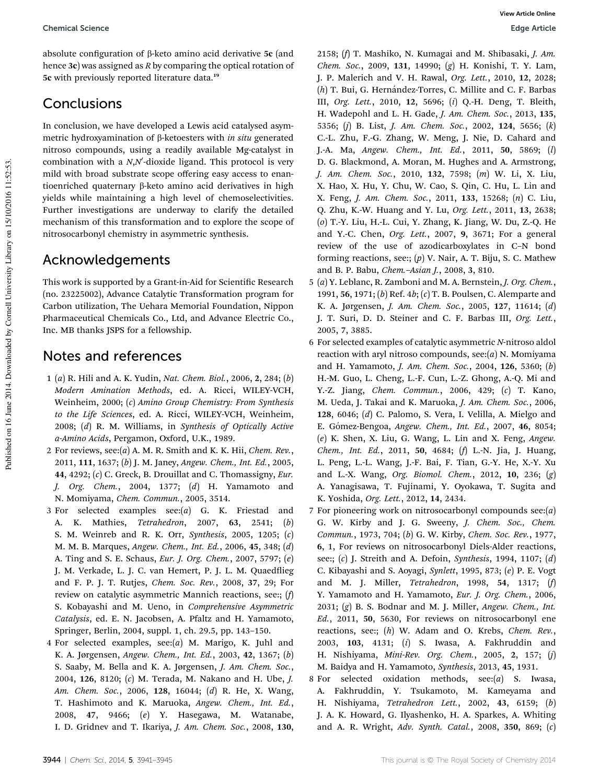absolute configuration of  $\beta$ -keto amino acid derivative 5c (and hence 3c) was assigned as *R* by comparing the optical rotation of 5c with previously reported literature data.<sup>19</sup>

### Conclusions

In conclusion, we have developed a Lewis acid catalysed asymmetric hydroxyamination of b-ketoesters with *in situ* generated nitroso compounds, using a readily available Mg-catalyst in combination with a *N*,*N*<sup>'</sup>-dioxide ligand. This protocol is very mild with broad substrate scope offering easy access to enantioenriched quaternary b-keto amino acid derivatives in high yields while maintaining a high level of chemoselectivities. Further investigations are underway to clarify the detailed mechanism of this transformation and to explore the scope of nitrosocarbonyl chemistry in asymmetric synthesis.

#### Acknowledgements

This work is supported by a Grant-in-Aid for Scientific Research (no. 23225002), Advance Catalytic Transformation program for Carbon utilization, The Uehara Memorial Foundation, Nippon Pharmaceutical Chemicals Co., Ltd, and Advance Electric Co., Inc. MB thanks JSPS for a fellowship.

#### Notes and references

- 1 (*a*) R. Hili and A. K. Yudin, *Nat. Chem. Biol.*, 2006, 2, 284; (*b*) *Modern Amination Methods*, ed. A. Ricci, WILEY-VCH, Weinheim, 2000; (*c*) *Amino Group Chemistry: From Synthesis to the Life Sciences*, ed. A. Ricci, WILEY-VCH, Weinheim, 2008; (*d*) R. M. Williams, in *Synthesis of Optically Active a-Amino Acids*, Pergamon, Oxford, U.K., 1989.
- 2 For reviews, see:(*a*) A. M. R. Smith and K. K. Hii, *Chem. Rev.*, 2011, 111, 1637; (*b*) J. M. Janey, *Angew. Chem., Int. Ed.*, 2005, 44, 4292; (*c*) C. Greck, B. Drouillat and C. Thomassigny, *Eur. J. Org. Chem.*, 2004, 1377; (*d*) H. Yamamoto and N. Momiyama, *Chem. Commun.*, 2005, 3514.
- 3 For selected examples see:(*a*) G. K. Friestad and A. K. Mathies, *Tetrahedron*, 2007, 63, 2541; (*b*) S. M. Weinreb and R. K. Orr, *Synthesis*, 2005, 1205; (*c*) M. M. B. Marques, *Angew. Chem., Int. Ed.*, 2006, 45, 348; (*d*) A. Ting and S. E. Schaus, *Eur. J. Org. Chem.*, 2007, 5797; (*e*) J. M. Verkade, L. J. C. van Hemert, P. J. L. M. Quaedflieg and F. P. J. T. Rutjes, *Chem. Soc. Rev.*, 2008, 37, 29; For review on catalytic asymmetric Mannich reactions, see:; (*f*) S. Kobayashi and M. Ueno, in *Comprehensive Asymmetric Catalysis*, ed. E. N. Jacobsen, A. Pfaltz and H. Yamamoto, Springer, Berlin, 2004, suppl. 1, ch. 29.5, pp. 143–150.
- 4 For selected examples, see:(*a*) M. Marigo, K. Juhl and K. A. Jørgensen, *Angew. Chem., Int. Ed.*, 2003, 42, 1367; (*b*) S. Saaby, M. Bella and K. A. Jørgensen, *J. Am. Chem. Soc.*, 2004, 126, 8120; (*c*) M. Terada, M. Nakano and H. Ube, *J. Am. Chem. Soc.*, 2006, 128, 16044; (*d*) R. He, X. Wang, T. Hashimoto and K. Maruoka, *Angew. Chem., Int. Ed.*, 2008, 47, 9466; (*e*) Y. Hasegawa, M. Watanabe, I. D. Gridnev and T. Ikariya, *J. Am. Chem. Soc.*, 2008, 130,

2158; (*f*) T. Mashiko, N. Kumagai and M. Shibasaki, *J. Am. Chem. Soc.*, 2009, 131, 14990; (*g*) H. Konishi, T. Y. Lam, J. P. Malerich and V. H. Rawal, *Org. Lett.*, 2010, 12, 2028; (h) T. Bui, G. Hernández-Torres, C. Millite and C. F. Barbas III, *Org. Lett.*, 2010, 12, 5696; (*i*) Q.-H. Deng, T. Bleith, H. Wadepohl and L. H. Gade, *J. Am. Chem. Soc.*, 2013, 135, 5356; (*j*) B. List, *J. Am. Chem. Soc.*, 2002, 124, 5656; (*k*) C.-L. Zhu, F.-G. Zhang, W. Meng, J. Nie, D. Cahard and J.-A. Ma, *Angew. Chem., Int. Ed.*, 2011, 50, 5869; (*l*) D. G. Blackmond, A. Moran, M. Hughes and A. Armstrong, *J. Am. Chem. Soc.*, 2010, 132, 7598; (*m*) W. Li, X. Liu, X. Hao, X. Hu, Y. Chu, W. Cao, S. Qin, C. Hu, L. Lin and X. Feng, *J. Am. Chem. Soc.*, 2011, 133, 15268; (*n*) C. Liu, Q. Zhu, K.-W. Huang and Y. Lu, *Org. Lett.*, 2011, 13, 2638; (*o*) T.-Y. Liu, H.-L. Cui, Y. Zhang, K. Jiang, W. Du, Z.-Q. He and Y.-C. Chen, *Org. Lett.*, 2007, 9, 3671; For a general review of the use of azodicarboxylates in C–N bond forming reactions, see:; (*p*) V. Nair, A. T. Biju, S. C. Mathew and B. P. Babu, *Chem.*–*Asian J.*, 2008, 3, 810.

- 5 (*a*) Y. Leblanc, R. Zamboni and M. A. Bernstein, *J. Org. Chem.*, 1991, 56, 1971; (*b*) Ref. 4*b*; (*c*) T. B. Poulsen, C. Alemparte and K. A. Jørgensen, *J. Am. Chem. Soc.*, 2005, 127, 11614; (*d*) J. T. Suri, D. D. Steiner and C. F. Barbas III, *Org. Lett.*, 2005, 7, 3885.
- 6 For selected examples of catalytic asymmetric *N*-nitroso aldol reaction with aryl nitroso compounds, see:(*a*) N. Momiyama and H. Yamamoto, *J. Am. Chem. Soc.*, 2004, 126, 5360; (*b*) H.-M. Guo, L. Cheng, L.-F. Cun, L.-Z. Ghong, A.-Q. Mi and Y.-Z. Jiang, *Chem. Commun.*, 2006, 429; (*c*) T. Kano, M. Ueda, J. Takai and K. Maruoka, *J. Am. Chem. Soc.*, 2006, 128, 6046; (*d*) C. Palomo, S. Vera, I. Velilla, A. Mielgo and E. G´omez-Bengoa, *Angew. Chem., Int. Ed.*, 2007, 46, 8054; (*e*) K. Shen, X. Liu, G. Wang, L. Lin and X. Feng, *Angew. Chem., Int. Ed.*, 2011, 50, 4684; (*f*) L.-N. Jia, J. Huang, L. Peng, L.-L. Wang, J.-F. Bai, F. Tian, G.-Y. He, X.-Y. Xu and L.-X. Wang, *Org. Biomol. Chem.*, 2012, 10, 236; (*g*) A. Yanagisawa, T. Fujinami, Y. Oyokawa, T. Sugita and K. Yoshida, *Org. Lett.*, 2012, 14, 2434.
- 7 For pioneering work on nitrosocarbonyl compounds see:(*a*) G. W. Kirby and J. G. Sweeny, *J. Chem. Soc., Chem. Commun.*, 1973, 704; (*b*) G. W. Kirby, *Chem. Soc. Rev.*, 1977, 6, 1, For reviews on nitrosocarbonyl Diels-Alder reactions, see:; (*c*) J. Streith and A. Defoin, *Synthesis*, 1994, 1107; (*d*) C. Kibayashi and S. Aoyagi, *Synlett*, 1995, 873; (*e*) P. E. Vogt and M. J. Miller, *Tetrahedron*, 1998, 54, 1317; (*f*) Y. Yamamoto and H. Yamamoto, *Eur. J. Org. Chem.*, 2006, 2031; (*g*) B. S. Bodnar and M. J. Miller, *Angew. Chem., Int. Ed.*, 2011, 50, 5630, For reviews on nitrosocarbonyl ene reactions, see:; (*h*) W. Adam and O. Krebs, *Chem. Rev.*, 2003, 103, 4131; (*i*) S. Iwasa, A. Fakhruddin and H. Nishiyama, *Mini-Rev. Org. Chem.*, 2005, 2, 157; (*j*) M. Baidya and H. Yamamoto, *Synthesis*, 2013, 45, 1931.
- 8 For selected oxidation methods, see:(*a*) S. Iwasa, A. Fakhruddin, Y. Tsukamoto, M. Kameyama and H. Nishiyama, *Tetrahedron Lett.*, 2002, 43, 6159; (*b*) J. A. K. Howard, G. Ilyashenko, H. A. Sparkes, A. Whiting and A. R. Wright, *Adv. Synth. Catal.*, 2008, 350, 869; (*c*)